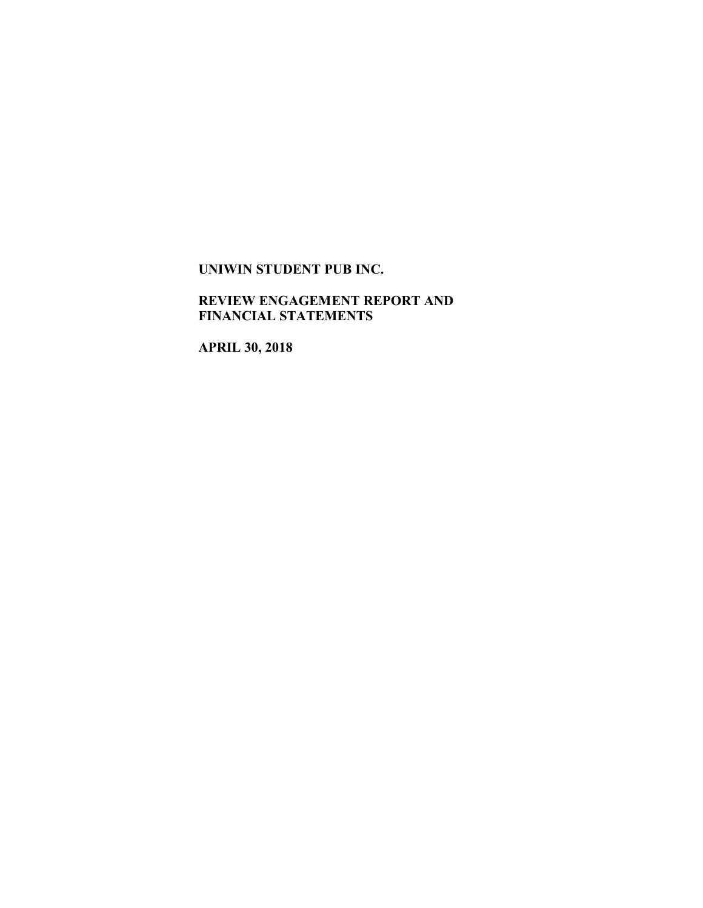## **REVIEW ENGAGEMENT REPORT AND FINANCIAL STATEMENTS**

**APRIL 30, 2018**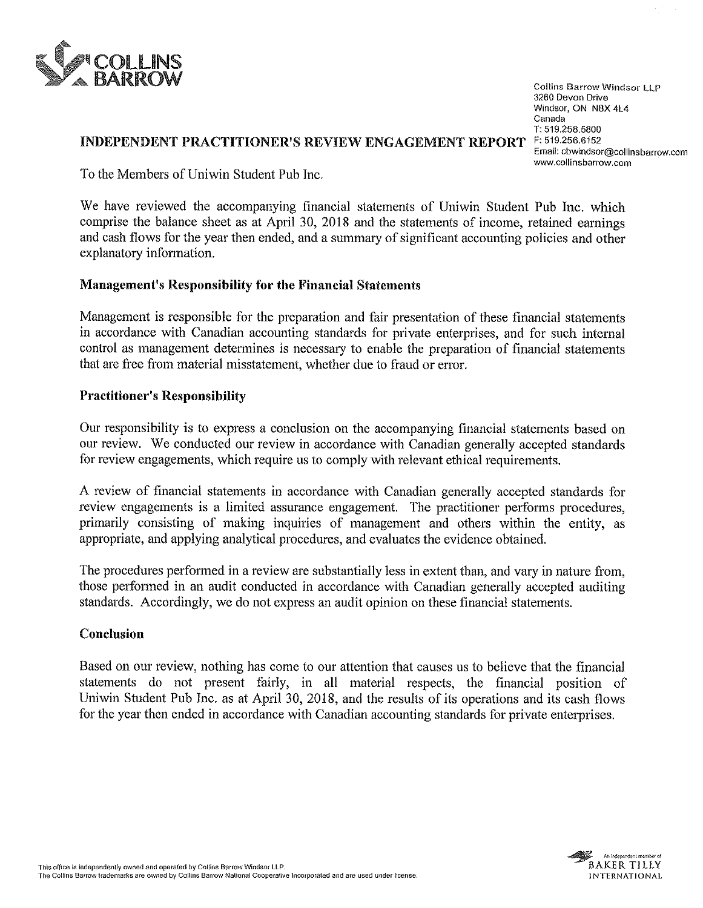

Collins Barrow Windsor LLP 3260 Devon Drive Windsor, ON N8X 4L4 Canada T: 519.258.5800 Email: cbwindsor@collinsbarrow.com www.co|Iinsbarrow.com

## INDEPENDENT PRACTITIONER'S REVIEW ENGAGEMENT REPORT F: 519.256.6152

To the Members of Uniwin Student Pub Inc.

We have reviewed the accompanying financial statements of Uniwin Student Pub Inc. which comprise the balance sheet as at April 30, 2018 and the statements of income, retained earnings and cash flows for the year then ended, and a summary of significant accounting policies and other explanatory information.

## Management's Responsibility for the Financial Statements

Management is responsible for the preparation and fair presentation of these financial statements in accordance with Canadian accounting standards for private enterprises, and for such internal control as management determines is necessary to enable the preparation of financial statements that are free from material misstatement, whether due to fraud or error.

## Practitioner's Responsibility

Our responsibility is to express a conclusion on the accompanying financial statements based on our review. We conducted our review in accordance with Canadian generally accepted standards for review engagements, which require us to comply with relevant ethical requirements.

A review of financial statements in accordance with Canadian generally accepted standards for review engagements is a limited assurance engagement. The practitioner performs procedures, primarily consisting of making inquiries of management and others within the entity, as appropriate, and applying analytical procedures, and evaluates the evidence obtained.

The procedures performed in a review are substantially less in extent than, and vary in nature from, those performed in an audit conducted in accordance with Canadian generally accepted auditing standards. Accordingly, we do not express an audit opinion on these financial statements.

## Conclusion

Based on our review, nothing has come to our attention that causes us to believe that the financial statements do not present fairly, in all material respects, the financial position of Uniwin Student Pub Inc. as at April 30, 2018, and the results of its operations and its cash flows for the year then ended in accordance with Canadian accounting standards for private enterprises.

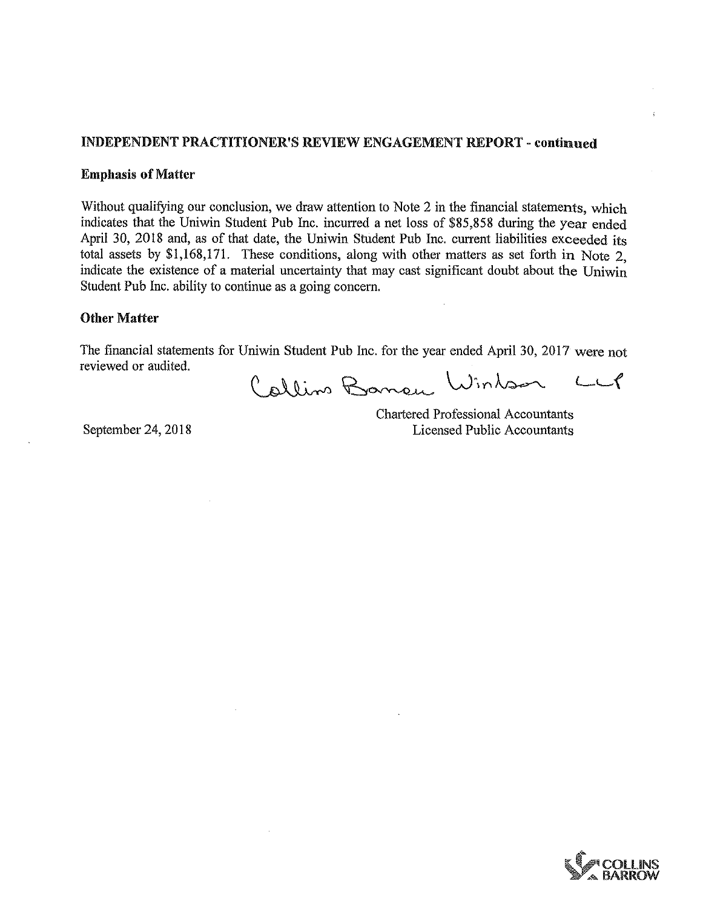## INDEPENDENT PRACTITIONER'S REVIEW ENGAGEMENT REPORT - continued

### Emphasis of Matter

Without qualifying our conclusion, we draw attention to Note 2 in the financial statements, which indicates that the Uniwin Student Pub Inc. incurred a net loss of \$85,858 during the year ended April 30, 2018 and, as of that date, the Uniwin Student Pub Inc. current liabilities exceeded its total assets by \$1,168,171. These conditions, along with other matters as set forth in Note 2, indicate the existence of a material uncertainty that may cast significant doubt about the Uniwin Student Pub Inc. ability to continue as a going concern.

### Other Matter

The financial statements for Unjwin Student Pub Inc. for the year ended April 30, 2017 were not reviewed or audited.

Callino Baneu Wintson LLP

Chartered Professional Accountants September 24, 2018 Licensed Public Accountants

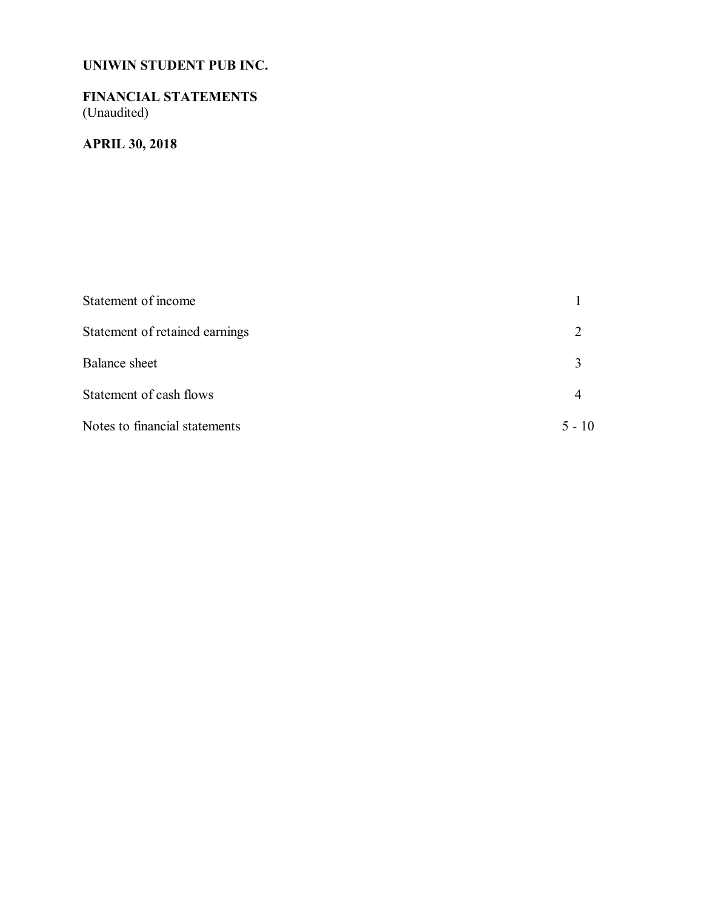## **FINANCIAL STATEMENTS** (Unaudited)

# **APRIL 30, 2018**

| Statement of income            |          |
|--------------------------------|----------|
| Statement of retained earnings |          |
| <b>Balance</b> sheet           |          |
| Statement of cash flows        |          |
| Notes to financial statements  | $5 - 10$ |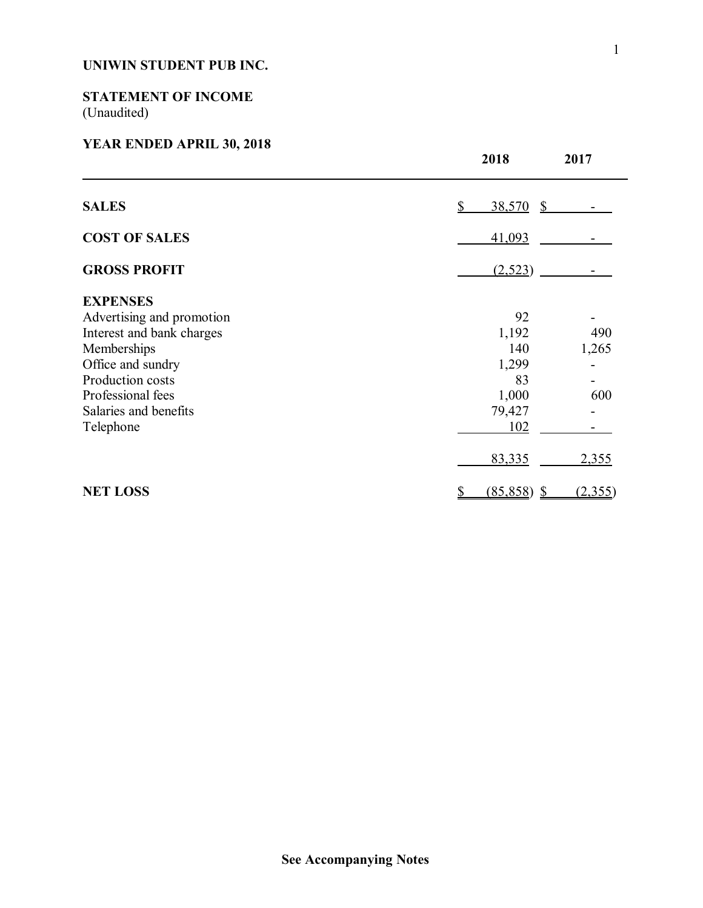## **STATEMENT OF INCOME** (Unaudited)

## **YEAR ENDED APRIL 30, 2018**

|                           | 2018          | 2017    |
|---------------------------|---------------|---------|
| <b>SALES</b>              | 38,570 \$     |         |
| <b>COST OF SALES</b>      | 41,093        |         |
| <b>GROSS PROFIT</b>       | (2, 523)      |         |
| <b>EXPENSES</b>           |               |         |
| Advertising and promotion | 92            |         |
| Interest and bank charges | 1,192         | 490     |
| Memberships               | 140           | 1,265   |
| Office and sundry         | 1,299         |         |
| Production costs          | 83            |         |
| Professional fees         | 1,000         | 600     |
| Salaries and benefits     | 79,427        |         |
| Telephone                 | 102           |         |
|                           | 83,335        | 2,355   |
| <b>NET LOSS</b>           | $(85,858)$ \$ | (2,355) |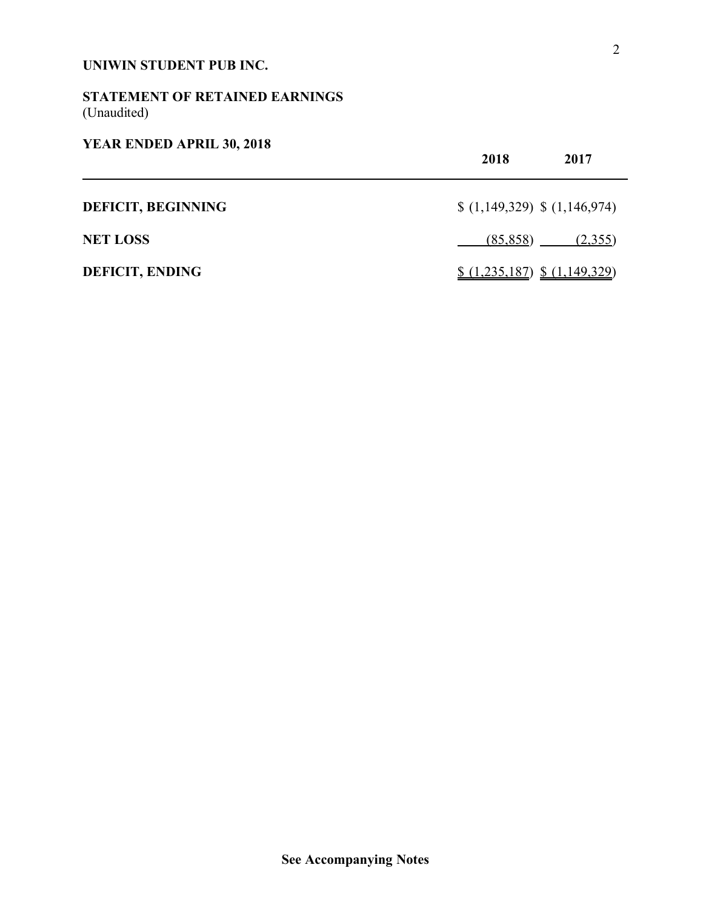## **STATEMENT OF RETAINED EARNINGS** (Unaudited)

## **YEAR ENDED APRIL 30, 2018**

|                           | 2018<br>2017                   |
|---------------------------|--------------------------------|
| <b>DEFICIT, BEGINNING</b> | $(1,149,329)$ \$ $(1,146,974)$ |
| <b>NET LOSS</b>           | $(85,858)$ $(2,355)$           |
| <b>DEFICIT, ENDING</b>    | $(1,235,187)$ \$ $(1,149,329)$ |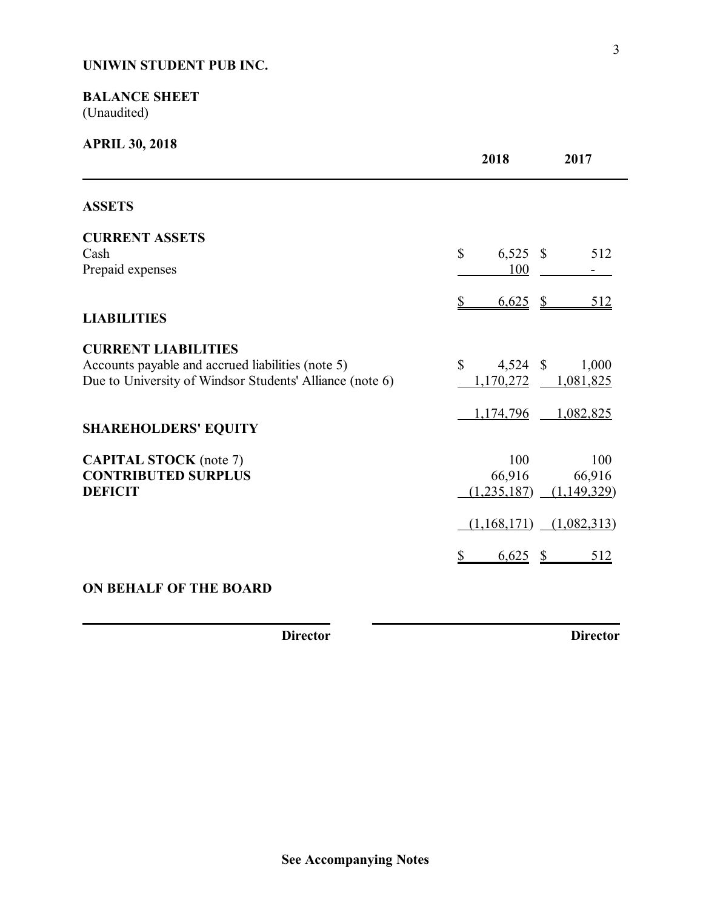## **BALANCE SHEET** (Unaudited)

| <b>APRIL 30, 2018</b>                                                                                                                       | 2018                              | 2017                         |
|---------------------------------------------------------------------------------------------------------------------------------------------|-----------------------------------|------------------------------|
| <b>ASSETS</b>                                                                                                                               |                                   |                              |
| <b>CURRENT ASSETS</b><br>Cash<br>Prepaid expenses                                                                                           | $\mathbb{S}$<br>$6,525$ \$<br>100 | 512                          |
| <b>LIABILITIES</b>                                                                                                                          | 6,625<br>\$<br>$\mathcal{S}$      | 512                          |
| <b>CURRENT LIABILITIES</b><br>Accounts payable and accrued liabilities (note 5)<br>Due to University of Windsor Students' Alliance (note 6) | \$<br>$4,524$ \$<br>1,170,272     | 1,000<br>1,081,825           |
| <b>SHAREHOLDERS' EQUITY</b>                                                                                                                 | 1,174,796                         | 1,082,825                    |
| <b>CAPITAL STOCK</b> (note 7)<br><b>CONTRIBUTED SURPLUS</b><br><b>DEFICIT</b>                                                               | 100<br>66,916<br>(1,235,187)      | 100<br>66,916<br>(1,149,329) |
|                                                                                                                                             | $(1,168,171)$ $(1,082,313)$       |                              |
|                                                                                                                                             | 6,625<br>$\frac{1}{2}$            | 512                          |
| <b>ON BEHALF OF THE BOARD</b>                                                                                                               |                                   |                              |

**Director Director**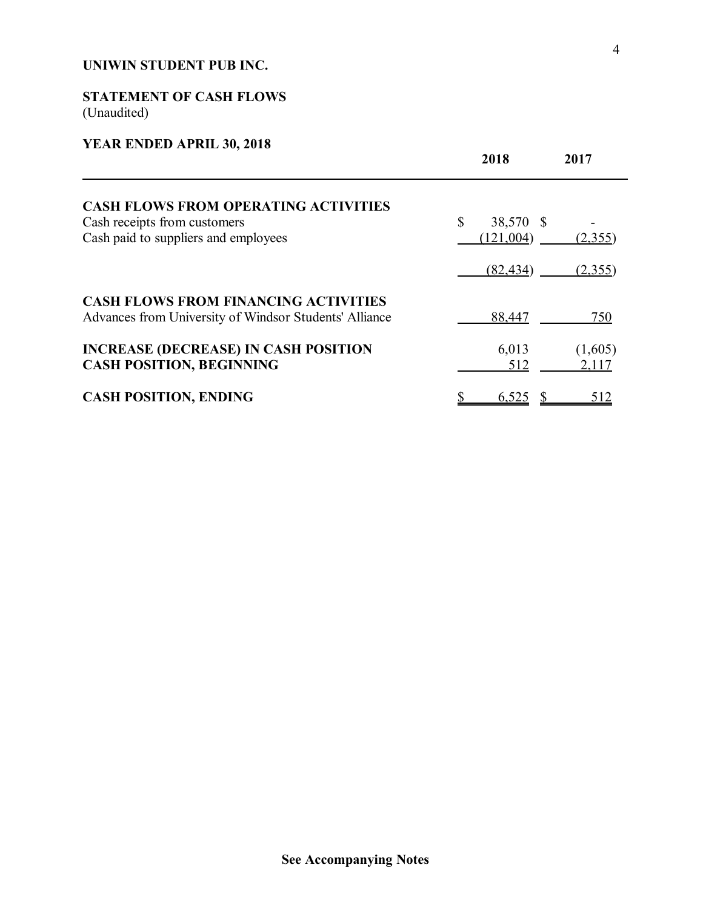## **STATEMENT OF CASH FLOWS** (Unaudited)

## **YEAR ENDED APRIL 30, 2018**

|                                                                                                       | 2018            | 2017             |
|-------------------------------------------------------------------------------------------------------|-----------------|------------------|
| <b>CASH FLOWS FROM OPERATING ACTIVITIES</b>                                                           |                 |                  |
| Cash receipts from customers                                                                          | \$<br>38,570 \$ |                  |
| Cash paid to suppliers and employees                                                                  | (121,004)       | (2,355)          |
|                                                                                                       | (82, 434)       | (2,355)          |
| <b>CASH FLOWS FROM FINANCING ACTIVITIES</b><br>Advances from University of Windsor Students' Alliance | 88,447          | 750              |
| <b>INCREASE (DECREASE) IN CASH POSITION</b><br><b>CASH POSITION, BEGINNING</b>                        | 6,013<br>512    | (1,605)<br>2,117 |
| <b>CASH POSITION, ENDING</b>                                                                          | 6,525           | 512              |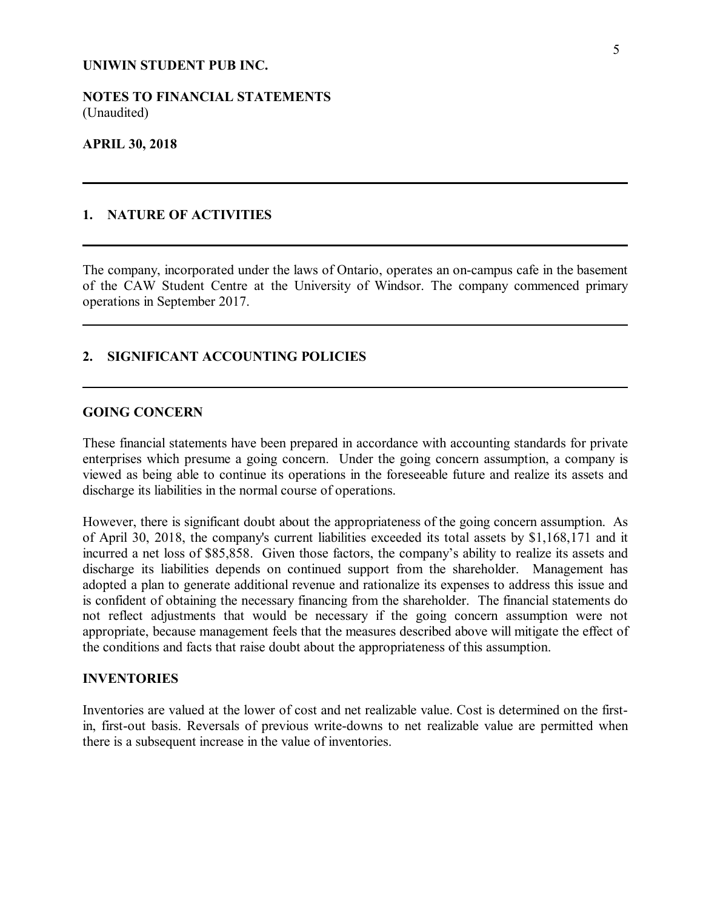**NOTES TO FINANCIAL STATEMENTS** (Unaudited)

#### **APRIL 30, 2018**

## **1. NATURE OF ACTIVITIES**

The company, incorporated under the laws of Ontario, operates an on-campus cafe in the basement of the CAW Student Centre at the University of Windsor. The company commenced primary operations in September 2017.

## **2. SIGNIFICANT ACCOUNTING POLICIES**

## **GOING CONCERN**

These financial statements have been prepared in accordance with accounting standards for private enterprises which presume a going concern. Under the going concern assumption, a company is viewed as being able to continue its operations in the foreseeable future and realize its assets and discharge its liabilities in the normal course of operations.

However, there is significant doubt about the appropriateness of the going concern assumption. As of April 30, 2018, the company's current liabilities exceeded its total assets by \$1,168,171 and it incurred a net loss of \$85,858. Given those factors, the company's ability to realize its assets and discharge its liabilities depends on continued support from the shareholder. Management has adopted a plan to generate additional revenue and rationalize its expenses to address this issue and is confident of obtaining the necessary financing from the shareholder. The financial statements do not reflect adjustments that would be necessary if the going concern assumption were not appropriate, because management feels that the measures described above will mitigate the effect of the conditions and facts that raise doubt about the appropriateness of this assumption.

#### **INVENTORIES**

Inventories are valued at the lower of cost and net realizable value. Cost is determined on the firstin, first-out basis. Reversals of previous write-downs to net realizable value are permitted when there is a subsequent increase in the value of inventories.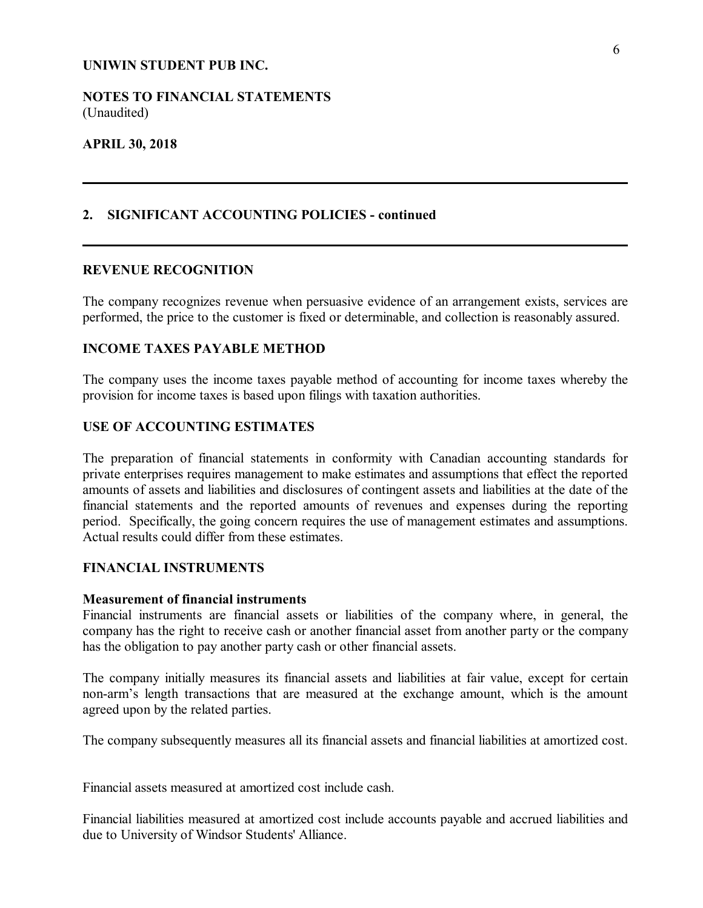**NOTES TO FINANCIAL STATEMENTS** (Unaudited)

### **APRIL 30, 2018**

## **2. SIGNIFICANT ACCOUNTING POLICIES - continued**

#### **REVENUE RECOGNITION**

The company recognizes revenue when persuasive evidence of an arrangement exists, services are performed, the price to the customer is fixed or determinable, and collection is reasonably assured.

## **INCOME TAXES PAYABLE METHOD**

The company uses the income taxes payable method of accounting for income taxes whereby the provision for income taxes is based upon filings with taxation authorities.

#### **USE OF ACCOUNTING ESTIMATES**

The preparation of financial statements in conformity with Canadian accounting standards for private enterprises requires management to make estimates and assumptions that effect the reported amounts of assets and liabilities and disclosures of contingent assets and liabilities at the date of the financial statements and the reported amounts of revenues and expenses during the reporting period. Specifically, the going concern requires the use of management estimates and assumptions. Actual results could differ from these estimates.

## **FINANCIAL INSTRUMENTS**

### **Measurement of financial instruments**

Financial instruments are financial assets or liabilities of the company where, in general, the company has the right to receive cash or another financial asset from another party or the company has the obligation to pay another party cash or other financial assets.

The company initially measures its financial assets and liabilities at fair value, except for certain non-arm's length transactions that are measured at the exchange amount, which is the amount agreed upon by the related parties.

The company subsequently measures all its financial assets and financial liabilities at amortized cost.

Financial assets measured at amortized cost include cash.

Financial liabilities measured at amortized cost include accounts payable and accrued liabilities and due to University of Windsor Students' Alliance.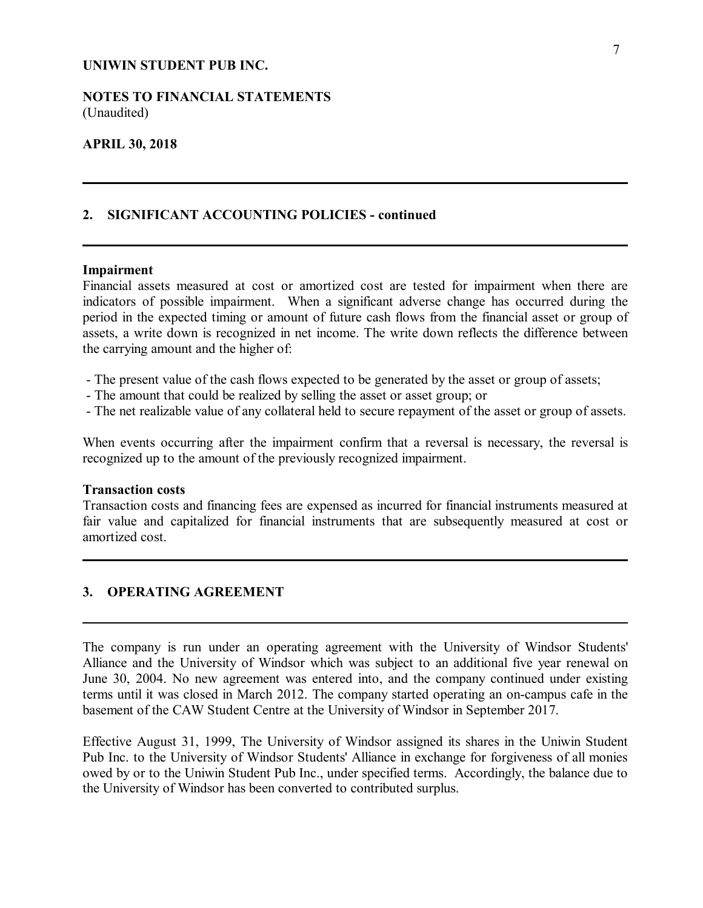### **NOTES TO FINANCIAL STATEMENTS** (Unaudited)

### **APRIL 30, 2018**

### **2. SIGNIFICANT ACCOUNTING POLICIES - continued**

#### **Impairment**

Financial assets measured at cost or amortized cost are tested for impairment when there are indicators of possible impairment. When a significant adverse change has occurred during the period in the expected timing or amount of future cash flows from the financial asset or group of assets, a write down is recognized in net income. The write down reflects the difference between the carrying amount and the higher of:

- The present value of the cash flows expected to be generated by the asset or group of assets;
- The amount that could be realized by selling the asset or asset group; or
- The net realizable value of any collateral held to secure repayment of the asset or group of assets.

When events occurring after the impairment confirm that a reversal is necessary, the reversal is recognized up to the amount of the previously recognized impairment.

#### **Transaction costs**

Transaction costs and financing fees are expensed as incurred for financial instruments measured at fair value and capitalized for financial instruments that are subsequently measured at cost or amortized cost.

### **3. OPERATING AGREEMENT**

The company is run under an operating agreement with the University of Windsor Students' Alliance and the University of Windsor which was subject to an additional five year renewal on June 30, 2004. No new agreement was entered into, and the company continued under existing terms until it was closed in March 2012. The company started operating an on-campus cafe in the basement of the CAW Student Centre at the University of Windsor in September 2017.

Effective August 31, 1999, The University of Windsor assigned its shares in the Uniwin Student Pub Inc. to the University of Windsor Students' Alliance in exchange for forgiveness of all monies owed by or to the Uniwin Student Pub Inc., under specified terms. Accordingly, the balance due to the University of Windsor has been converted to contributed surplus.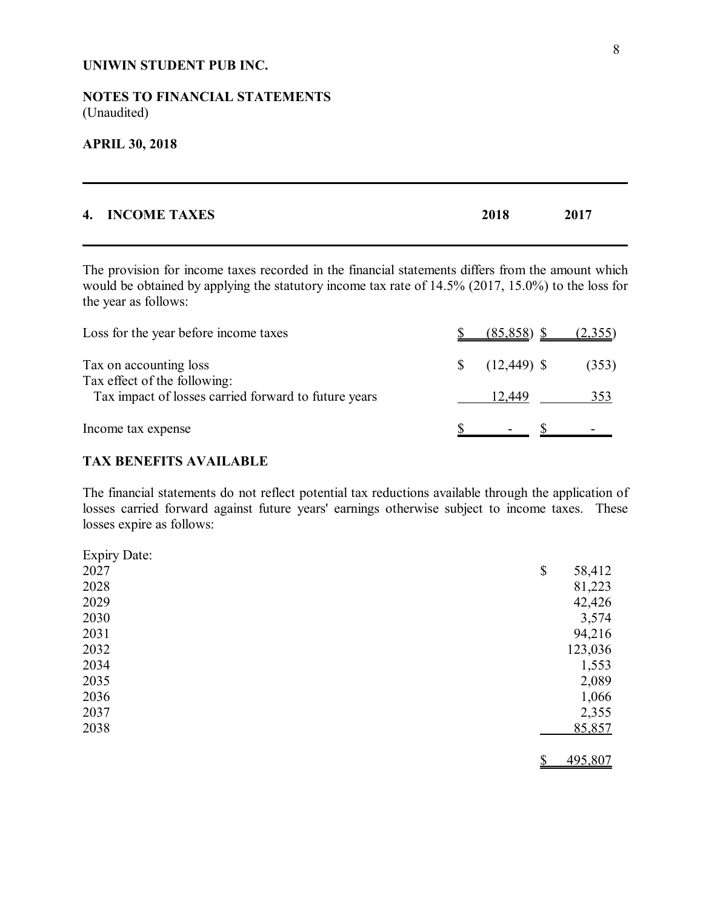## **NOTES TO FINANCIAL STATEMENTS** (Unaudited)

#### **APRIL 30, 2018**

| 4. INCOME TAXES | 2018 | 2017 |
|-----------------|------|------|
|                 |      |      |

The provision for income taxes recorded in the financial statements differs from the amount which would be obtained by applying the statutory income tax rate of 14.5% (2017, 15.0%) to the loss for the year as follows:

| Loss for the year before income taxes                                                | $(85,858)$ \$             | (2,355) |
|--------------------------------------------------------------------------------------|---------------------------|---------|
| Tax on accounting loss                                                               |                           | (353)   |
| Tax effect of the following:<br>Tax impact of losses carried forward to future years | 12.449                    | 353     |
| Income tax expense                                                                   | $\mathbf{D}$ $\mathbf{D}$ |         |

## **TAX BENEFITS AVAILABLE**

The financial statements do not reflect potential tax reductions available through the application of losses carried forward against future years' earnings otherwise subject to income taxes. These losses expire as follows:

| <b>Expiry Date:</b> |               |
|---------------------|---------------|
| 2027                | 58,412<br>\$  |
| 2028                | 81,223        |
| 2029                | 42,426        |
| 2030                | 3,574         |
| 2031                | 94,216        |
| 2032                | 123,036       |
| 2034                | 1,553         |
| 2035                | 2,089         |
| 2036                | 1,066         |
| 2037                | 2,355         |
| 2038                | 85,857        |
|                     | 495,807<br>\$ |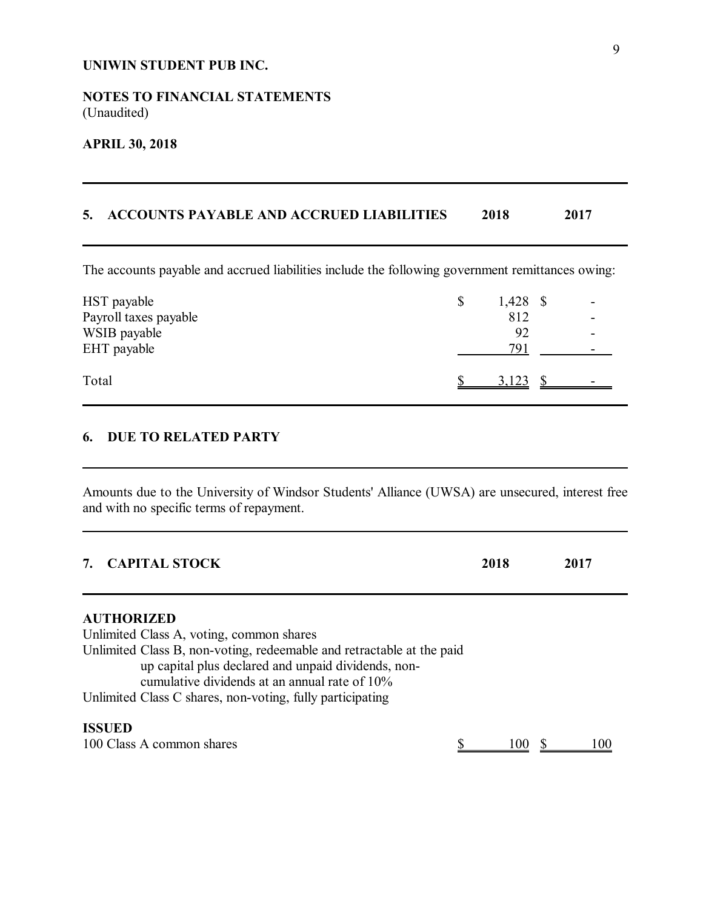## **NOTES TO FINANCIAL STATEMENTS** (Unaudited)

## **APRIL 30, 2018**

## **5. ACCOUNTS PAYABLE AND ACCRUED LIABILITIES 2018 2017**

The accounts payable and accrued liabilities include the following government remittances owing:

| HST payable<br>Payroll taxes payable | $1,428$ \$<br>812 |   |
|--------------------------------------|-------------------|---|
| WSIB payable<br>EHT payable          | 92<br>791         | - |
| Total                                | 3,123             |   |

## **6. DUE TO RELATED PARTY**

Amounts due to the University of Windsor Students' Alliance (UWSA) are unsecured, interest free and with no specific terms of repayment.

| <b>CAPITAL STOCK</b>                                                                                                                                                          | 2018 | 2017 |  |
|-------------------------------------------------------------------------------------------------------------------------------------------------------------------------------|------|------|--|
| <b>AUTHORIZED</b><br>Unlimited Class A, voting, common shares                                                                                                                 |      |      |  |
| Unlimited Class B, non-voting, redeemable and retractable at the paid<br>up capital plus declared and unpaid dividends, non-<br>cumulative dividends at an annual rate of 10% |      |      |  |
| Unlimited Class C shares, non-voting, fully participating                                                                                                                     |      |      |  |
| <b>ISSUED</b><br>100 Class A common shares                                                                                                                                    |      |      |  |